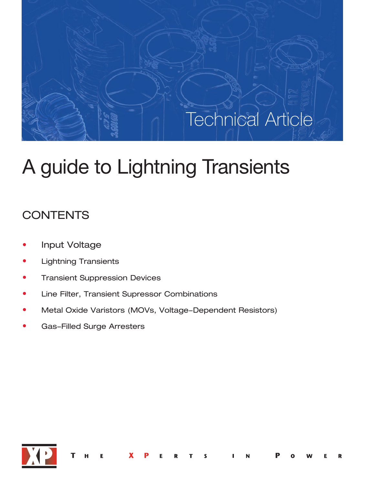# Technical Article

# A guide to Lightning Transients

# **CONTENTS**

- Input Voltage
- Lightning Transients
- **Transient Suppression Devices**
- Line Filter, Transient Supressor Combinations
- Metal Oxide Varistors (MOVs, Voltage-Dependent Resistors)
- Gas-Filled Surge Arresters

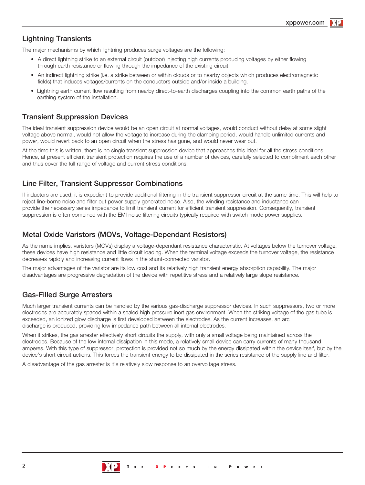### Lightning Transients

The major mechanisms by which lightning produces surge voltages are the following:

- A direct lightning strike to an external circuit (outdoor) injecting high currents producing voltages by either flowing through earth resistance or flowing through the impedance of the existing circuit.
- An indirect lightning strike (i.e. a strike between or within clouds or to nearby objects which produces electromagnetic fields) that induces voltages/currents on the conductors outside and/or inside a building.
- Lightning earth current flow resulting from nearby direct-to-earth discharges coupling into the common earth paths of the earthing system of the installation.

### Transient Suppression Devices

The ideal transient suppression device would be an open circuit at normal voltages, would conduct without delay at some slight voltage above normal, would not allow the voltage to increase during the clamping period, would handle unlimited currents and power, would revert back to an open circuit when the stress has gone, and would never wear out.

At the time this is written, there is no single transient suppression device that approaches this ideal for all the stress conditions. Hence, at present efficient transient protection requires the use of a number of devices, carefully selected to compliment each other and thus cover the full range of voltage and current stress conditions.

# Line Filter, Transient Suppressor Combinations

If inductors are used, it is expedient to provide additional filtering in the transient suppressor circuit at the same time. This will help to reject line-borne noise and filter out power supply generated noise. Also, the winding resistance and inductance can provide the necessary series impedance to limit transient current for efficient transient suppression. Consequently, transient suppression is often combined with the EMI noise filtering circuits typically required with switch mode power supplies.

## Metal Oxide Varistors (MOVs, Voltage-Dependant Resistors)

As the name implies, varistors (MOVs) display a voltage-dependant resistance characteristic. At voltages below the turnover voltage, these devices have high resistance and little circuit loading. When the terminal voltage exceeds the turnover voltage, the resistance decreases rapidly and increasing current flows in the shunt-connected varistor.

The major advantages of the varistor are its low cost and its relatively high transient energy absorption capability. The major disadvantages are progressive degradation of the device with repetitive stress and a relatively large slope resistance.

# Gas-Filled Surge Arresters

Much larger transient currents can be handled by the various gas-discharge suppressor devices. In such suppressors, two or more electrodes are accurately spaced within a sealed high pressure inert gas environment. When the striking voltage of the gas tube is exceeded, an ionized glow discharge is first developed between the electrodes. As the current increases, an arc discharge is produced, providing low impedance path between all internal electrodes.

When it strikes, the gas arrester effectively short circuits the supply, with only a small voltage being maintained across the electrodes. Because of the low internal dissipation in this mode, a relatively small device can carry currents of many thousand amperes. With this type of suppressor, protection is provided not so much by the energy dissipated within the device itself, but by the device's short circuit actions. This forces the transient energy to be dissipated in the series resistance of the supply line and filter.

A disadvantage of the gas arrester is it's relatively slow response to an overvoltage stress.